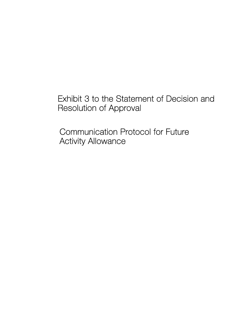Exhibit 3 to the Statement of Decision and Resolution of Approval

Communication Protocol for Future Activity Allowance